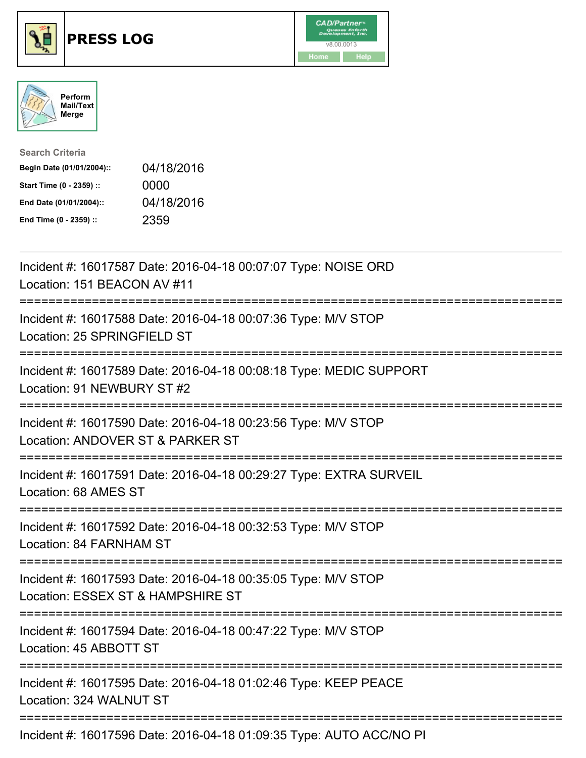

## **PRESS LOG** v8.00.0013





| <b>Search Criteria</b>    |            |
|---------------------------|------------|
| Begin Date (01/01/2004):: | 04/18/2016 |
| Start Time (0 - 2359) ::  | 0000       |
| End Date (01/01/2004)::   | 04/18/2016 |
| End Time (0 - 2359) ::    | 2359       |

Incident #: 16017587 Date: 2016-04-18 00:07:07 Type: NOISE ORD Location: 151 BEACON AV #11 =========================================================================== Incident #: 16017588 Date: 2016-04-18 00:07:36 Type: M/V STOP Location: 25 SPRINGFIELD ST =========================================================================== Incident #: 16017589 Date: 2016-04-18 00:08:18 Type: MEDIC SUPPORT Location: 91 NEWBURY ST #2 =========================================================================== Incident #: 16017590 Date: 2016-04-18 00:23:56 Type: M/V STOP Location: ANDOVER ST & PARKER ST =========================================================================== Incident #: 16017591 Date: 2016-04-18 00:29:27 Type: EXTRA SURVEIL Location: 68 AMES ST =========================================================================== Incident #: 16017592 Date: 2016-04-18 00:32:53 Type: M/V STOP Location: 84 FARNHAM ST =========================================================================== Incident #: 16017593 Date: 2016-04-18 00:35:05 Type: M/V STOP Location: ESSEX ST & HAMPSHIRE ST =========================================================================== Incident #: 16017594 Date: 2016-04-18 00:47:22 Type: M/V STOP Location: 45 ABBOTT ST =========================================================================== Incident #: 16017595 Date: 2016-04-18 01:02:46 Type: KEEP PEACE Location: 324 WALNUT ST =========================================================================== Incident #: 16017596 Date: 2016-04-18 01:09:35 Type: AUTO ACC/NO PI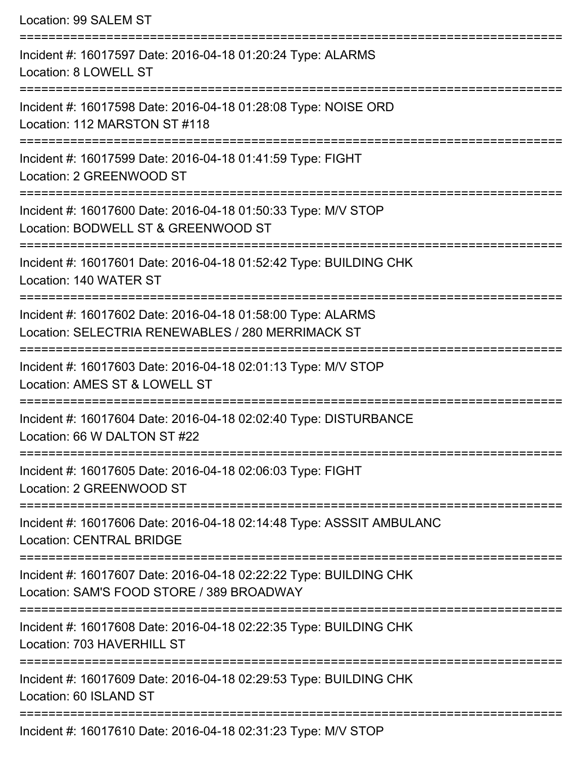| Location: 99 SALEM ST                                                                                            |
|------------------------------------------------------------------------------------------------------------------|
| Incident #: 16017597 Date: 2016-04-18 01:20:24 Type: ALARMS<br>Location: 8 LOWELL ST                             |
| Incident #: 16017598 Date: 2016-04-18 01:28:08 Type: NOISE ORD<br>Location: 112 MARSTON ST #118                  |
| Incident #: 16017599 Date: 2016-04-18 01:41:59 Type: FIGHT<br>Location: 2 GREENWOOD ST                           |
| Incident #: 16017600 Date: 2016-04-18 01:50:33 Type: M/V STOP<br>Location: BODWELL ST & GREENWOOD ST             |
| Incident #: 16017601 Date: 2016-04-18 01:52:42 Type: BUILDING CHK<br>Location: 140 WATER ST                      |
| Incident #: 16017602 Date: 2016-04-18 01:58:00 Type: ALARMS<br>Location: SELECTRIA RENEWABLES / 280 MERRIMACK ST |
| Incident #: 16017603 Date: 2016-04-18 02:01:13 Type: M/V STOP<br>Location: AMES ST & LOWELL ST                   |
| Incident #: 16017604 Date: 2016-04-18 02:02:40 Type: DISTURBANCE<br>Location: 66 W DALTON ST #22                 |
| Incident #: 16017605 Date: 2016-04-18 02:06:03 Type: FIGHT<br>Location: 2 GREENWOOD ST                           |
| Incident #: 16017606 Date: 2016-04-18 02:14:48 Type: ASSSIT AMBULANC<br><b>Location: CENTRAL BRIDGE</b>          |
| Incident #: 16017607 Date: 2016-04-18 02:22:22 Type: BUILDING CHK<br>Location: SAM'S FOOD STORE / 389 BROADWAY   |
| Incident #: 16017608 Date: 2016-04-18 02:22:35 Type: BUILDING CHK<br>Location: 703 HAVERHILL ST                  |
| Incident #: 16017609 Date: 2016-04-18 02:29:53 Type: BUILDING CHK<br>Location: 60 ISLAND ST                      |
| Incident #: 16017610 Date: 2016-04-18 02:31:23 Type: M/V STOP                                                    |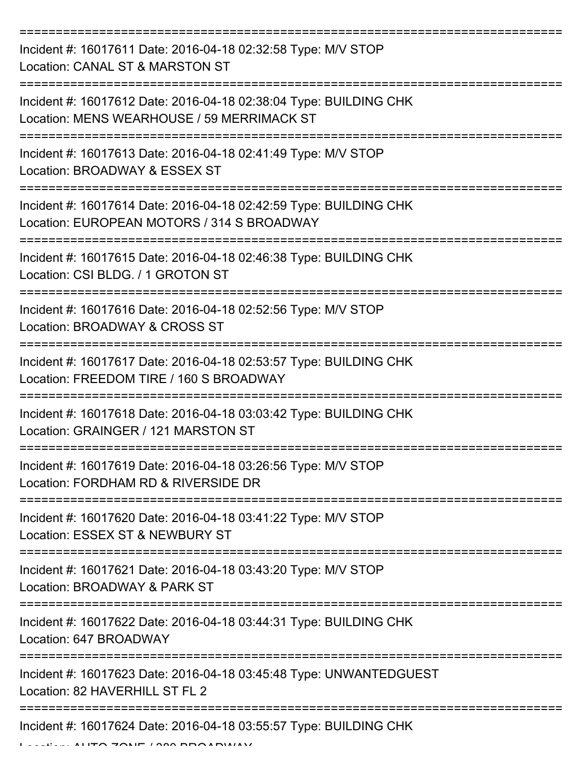| Incident #: 16017611 Date: 2016-04-18 02:32:58 Type: M/V STOP<br>Location: CANAL ST & MARSTON ST                |
|-----------------------------------------------------------------------------------------------------------------|
| Incident #: 16017612 Date: 2016-04-18 02:38:04 Type: BUILDING CHK<br>Location: MENS WEARHOUSE / 59 MERRIMACK ST |
| Incident #: 16017613 Date: 2016-04-18 02:41:49 Type: M/V STOP<br>Location: BROADWAY & ESSEX ST                  |
| Incident #: 16017614 Date: 2016-04-18 02:42:59 Type: BUILDING CHK<br>Location: EUROPEAN MOTORS / 314 S BROADWAY |
| Incident #: 16017615 Date: 2016-04-18 02:46:38 Type: BUILDING CHK<br>Location: CSI BLDG. / 1 GROTON ST          |
| Incident #: 16017616 Date: 2016-04-18 02:52:56 Type: M/V STOP<br>Location: BROADWAY & CROSS ST                  |
| Incident #: 16017617 Date: 2016-04-18 02:53:57 Type: BUILDING CHK<br>Location: FREEDOM TIRE / 160 S BROADWAY    |
| Incident #: 16017618 Date: 2016-04-18 03:03:42 Type: BUILDING CHK<br>Location: GRAINGER / 121 MARSTON ST        |
| Incident #: 16017619 Date: 2016-04-18 03:26:56 Type: M/V STOP<br>Location: FORDHAM RD & RIVERSIDE DR            |
| Incident #: 16017620 Date: 2016-04-18 03:41:22 Type: M/V STOP<br>Location: ESSEX ST & NEWBURY ST                |
| Incident #: 16017621 Date: 2016-04-18 03:43:20 Type: M/V STOP<br>Location: BROADWAY & PARK ST                   |
| Incident #: 16017622 Date: 2016-04-18 03:44:31 Type: BUILDING CHK<br>Location: 647 BROADWAY                     |
| Incident #: 16017623 Date: 2016-04-18 03:45:48 Type: UNWANTEDGUEST<br>Location: 82 HAVERHILL ST FL 2            |
| Incident #: 16017624 Date: 2016-04-18 03:55:57 Type: BUILDING CHK                                               |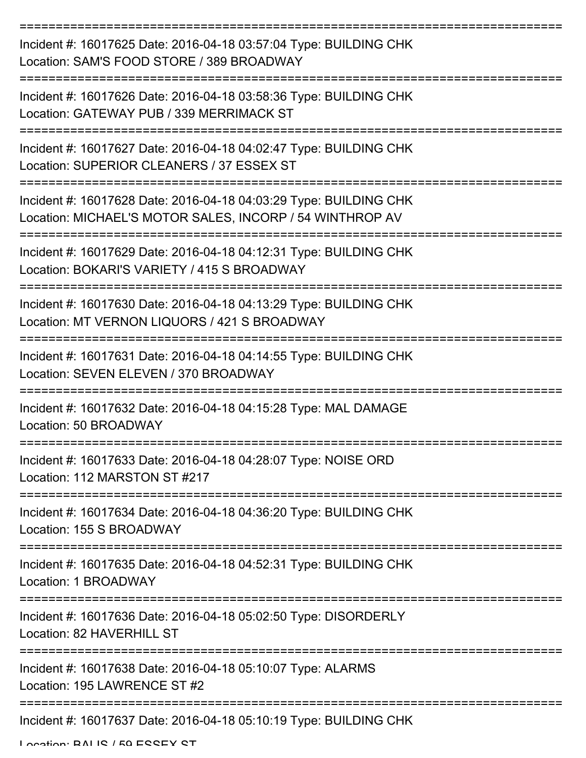| Incident #: 16017625 Date: 2016-04-18 03:57:04 Type: BUILDING CHK<br>Location: SAM'S FOOD STORE / 389 BROADWAY                |
|-------------------------------------------------------------------------------------------------------------------------------|
| Incident #: 16017626 Date: 2016-04-18 03:58:36 Type: BUILDING CHK<br>Location: GATEWAY PUB / 339 MERRIMACK ST                 |
| Incident #: 16017627 Date: 2016-04-18 04:02:47 Type: BUILDING CHK<br>Location: SUPERIOR CLEANERS / 37 ESSEX ST                |
| Incident #: 16017628 Date: 2016-04-18 04:03:29 Type: BUILDING CHK<br>Location: MICHAEL'S MOTOR SALES, INCORP / 54 WINTHROP AV |
| Incident #: 16017629 Date: 2016-04-18 04:12:31 Type: BUILDING CHK<br>Location: BOKARI'S VARIETY / 415 S BROADWAY              |
| Incident #: 16017630 Date: 2016-04-18 04:13:29 Type: BUILDING CHK<br>Location: MT VERNON LIQUORS / 421 S BROADWAY             |
| Incident #: 16017631 Date: 2016-04-18 04:14:55 Type: BUILDING CHK<br>Location: SEVEN ELEVEN / 370 BROADWAY                    |
| Incident #: 16017632 Date: 2016-04-18 04:15:28 Type: MAL DAMAGE<br>Location: 50 BROADWAY                                      |
| Incident #: 16017633 Date: 2016-04-18 04:28:07 Type: NOISE ORD<br>Location: 112 MARSTON ST #217                               |
| Incident #: 16017634 Date: 2016-04-18 04:36:20 Type: BUILDING CHK<br>Location: 155 S BROADWAY                                 |
| Incident #: 16017635 Date: 2016-04-18 04:52:31 Type: BUILDING CHK<br>Location: 1 BROADWAY                                     |
| Incident #: 16017636 Date: 2016-04-18 05:02:50 Type: DISORDERLY<br>Location: 82 HAVERHILL ST                                  |
| Incident #: 16017638 Date: 2016-04-18 05:10:07 Type: ALARMS<br>Location: 195 LAWRENCE ST #2                                   |
| Incident #: 16017637 Date: 2016-04-18 05:10:19 Type: BUILDING CHK                                                             |

Location: BALIC / 50 ESSEY ST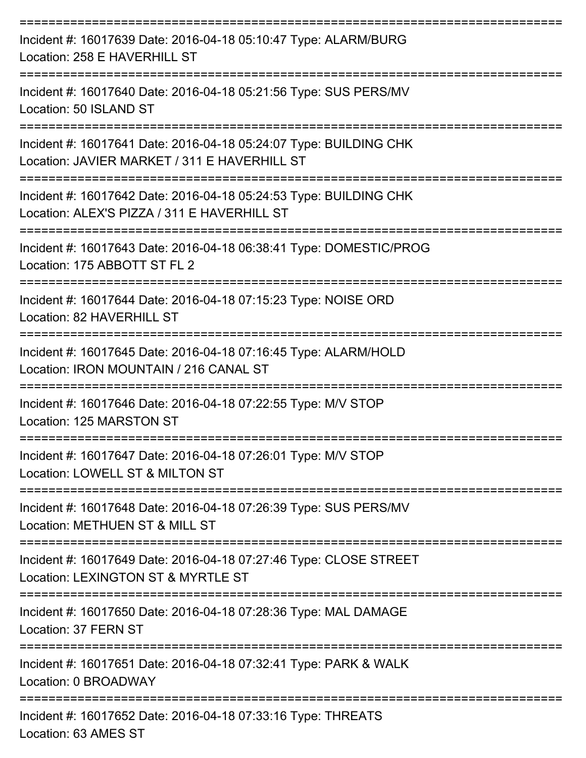| Incident #: 16017639 Date: 2016-04-18 05:10:47 Type: ALARM/BURG<br>Location: 258 E HAVERHILL ST                   |
|-------------------------------------------------------------------------------------------------------------------|
| Incident #: 16017640 Date: 2016-04-18 05:21:56 Type: SUS PERS/MV<br>Location: 50 ISLAND ST                        |
| Incident #: 16017641 Date: 2016-04-18 05:24:07 Type: BUILDING CHK<br>Location: JAVIER MARKET / 311 E HAVERHILL ST |
| Incident #: 16017642 Date: 2016-04-18 05:24:53 Type: BUILDING CHK<br>Location: ALEX'S PIZZA / 311 E HAVERHILL ST  |
| Incident #: 16017643 Date: 2016-04-18 06:38:41 Type: DOMESTIC/PROG<br>Location: 175 ABBOTT ST FL 2                |
| Incident #: 16017644 Date: 2016-04-18 07:15:23 Type: NOISE ORD<br>Location: 82 HAVERHILL ST                       |
| Incident #: 16017645 Date: 2016-04-18 07:16:45 Type: ALARM/HOLD<br>Location: IRON MOUNTAIN / 216 CANAL ST         |
| Incident #: 16017646 Date: 2016-04-18 07:22:55 Type: M/V STOP<br>Location: 125 MARSTON ST                         |
| Incident #: 16017647 Date: 2016-04-18 07:26:01 Type: M/V STOP<br>Location: LOWELL ST & MILTON ST                  |
| Incident #: 16017648 Date: 2016-04-18 07:26:39 Type: SUS PERS/MV<br>Location: METHUEN ST & MILL ST                |
| Incident #: 16017649 Date: 2016-04-18 07:27:46 Type: CLOSE STREET<br>Location: LEXINGTON ST & MYRTLE ST           |
| Incident #: 16017650 Date: 2016-04-18 07:28:36 Type: MAL DAMAGE<br>Location: 37 FERN ST                           |
| Incident #: 16017651 Date: 2016-04-18 07:32:41 Type: PARK & WALK<br>Location: 0 BROADWAY                          |
| Incident #: 16017652 Date: 2016-04-18 07:33:16 Type: THREATS<br>Location: 63 AMES ST                              |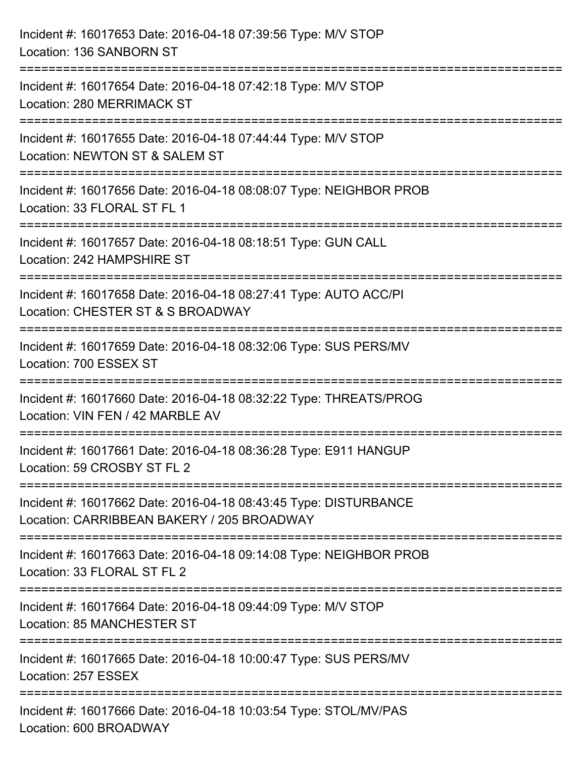| Incident #: 16017653 Date: 2016-04-18 07:39:56 Type: M/V STOP<br>Location: 136 SANBORN ST                                              |
|----------------------------------------------------------------------------------------------------------------------------------------|
| Incident #: 16017654 Date: 2016-04-18 07:42:18 Type: M/V STOP<br>Location: 280 MERRIMACK ST                                            |
| Incident #: 16017655 Date: 2016-04-18 07:44:44 Type: M/V STOP<br>Location: NEWTON ST & SALEM ST<br>=================================== |
| Incident #: 16017656 Date: 2016-04-18 08:08:07 Type: NEIGHBOR PROB<br>Location: 33 FLORAL ST FL 1                                      |
| Incident #: 16017657 Date: 2016-04-18 08:18:51 Type: GUN CALL<br>Location: 242 HAMPSHIRE ST                                            |
| Incident #: 16017658 Date: 2016-04-18 08:27:41 Type: AUTO ACC/PI<br>Location: CHESTER ST & S BROADWAY                                  |
| :2222222222222222222<br>Incident #: 16017659 Date: 2016-04-18 08:32:06 Type: SUS PERS/MV<br>Location: 700 ESSEX ST                     |
| Incident #: 16017660 Date: 2016-04-18 08:32:22 Type: THREATS/PROG<br>Location: VIN FEN / 42 MARBLE AV                                  |
| Incident #: 16017661 Date: 2016-04-18 08:36:28 Type: E911 HANGUP<br>Location: 59 CROSBY ST FL 2                                        |
| Incident #: 16017662 Date: 2016-04-18 08:43:45 Type: DISTURBANCE<br>Location: CARRIBBEAN BAKERY / 205 BROADWAY                         |
| Incident #: 16017663 Date: 2016-04-18 09:14:08 Type: NEIGHBOR PROB<br>Location: 33 FLORAL ST FL 2                                      |
| Incident #: 16017664 Date: 2016-04-18 09:44:09 Type: M/V STOP<br>Location: 85 MANCHESTER ST                                            |
| Incident #: 16017665 Date: 2016-04-18 10:00:47 Type: SUS PERS/MV<br>Location: 257 ESSEX                                                |
| Incident #: 16017666 Date: 2016-04-18 10:03:54 Type: STOL/MV/PAS<br>Location: 600 BROADWAY                                             |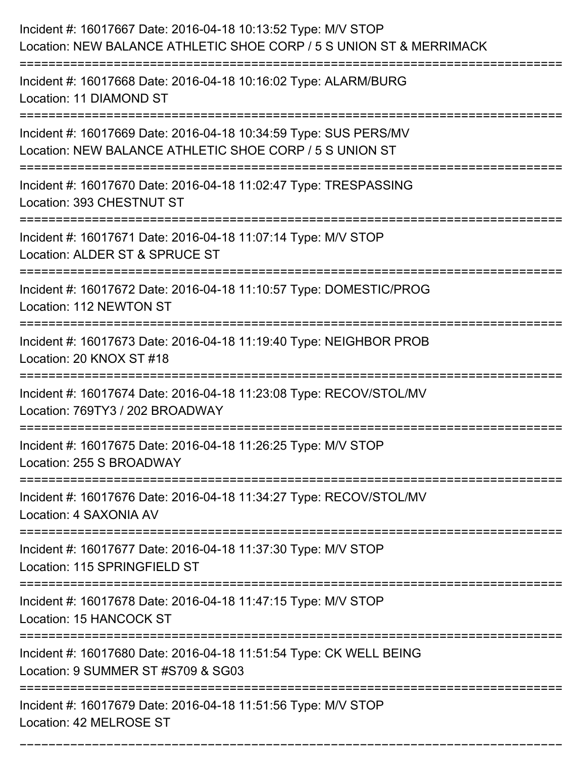| Incident #: 16017667 Date: 2016-04-18 10:13:52 Type: M/V STOP<br>Location: NEW BALANCE ATHLETIC SHOE CORP / 5 S UNION ST & MERRIMACK                              |
|-------------------------------------------------------------------------------------------------------------------------------------------------------------------|
| Incident #: 16017668 Date: 2016-04-18 10:16:02 Type: ALARM/BURG<br>Location: 11 DIAMOND ST                                                                        |
| Incident #: 16017669 Date: 2016-04-18 10:34:59 Type: SUS PERS/MV<br>Location: NEW BALANCE ATHLETIC SHOE CORP / 5 S UNION ST<br>================================== |
| Incident #: 16017670 Date: 2016-04-18 11:02:47 Type: TRESPASSING<br>Location: 393 CHESTNUT ST                                                                     |
| Incident #: 16017671 Date: 2016-04-18 11:07:14 Type: M/V STOP<br>Location: ALDER ST & SPRUCE ST                                                                   |
| Incident #: 16017672 Date: 2016-04-18 11:10:57 Type: DOMESTIC/PROG<br>Location: 112 NEWTON ST                                                                     |
| Incident #: 16017673 Date: 2016-04-18 11:19:40 Type: NEIGHBOR PROB<br>Location: 20 KNOX ST #18                                                                    |
| Incident #: 16017674 Date: 2016-04-18 11:23:08 Type: RECOV/STOL/MV<br>Location: 769TY3 / 202 BROADWAY                                                             |
| Incident #: 16017675 Date: 2016-04-18 11:26:25 Type: M/V STOP<br>Location: 255 S BROADWAY                                                                         |
| Incident #: 16017676 Date: 2016-04-18 11:34:27 Type: RECOV/STOL/MV<br>Location: 4 SAXONIA AV                                                                      |
| Incident #: 16017677 Date: 2016-04-18 11:37:30 Type: M/V STOP<br>Location: 115 SPRINGFIELD ST                                                                     |
| Incident #: 16017678 Date: 2016-04-18 11:47:15 Type: M/V STOP<br>Location: 15 HANCOCK ST                                                                          |
| Incident #: 16017680 Date: 2016-04-18 11:51:54 Type: CK WELL BEING<br>Location: 9 SUMMER ST #S709 & SG03                                                          |
| Incident #: 16017679 Date: 2016-04-18 11:51:56 Type: M/V STOP<br>Location: 42 MELROSE ST                                                                          |

===========================================================================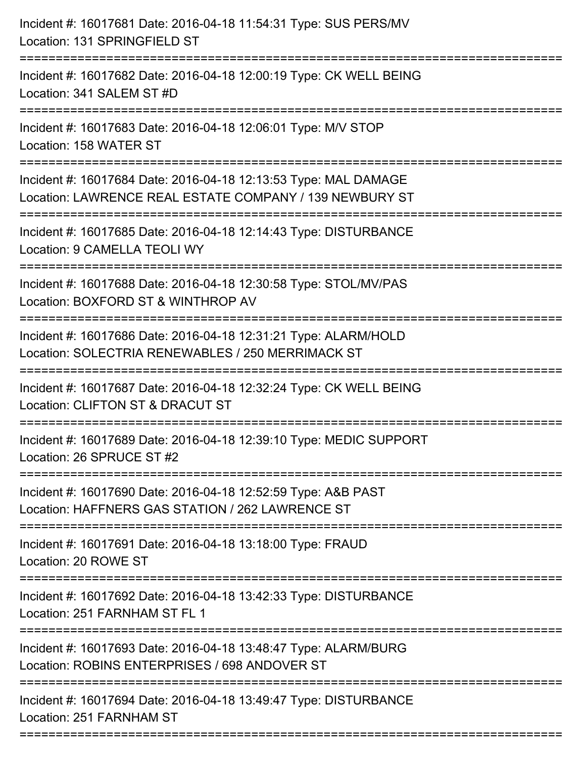| Incident #: 16017681 Date: 2016-04-18 11:54:31 Type: SUS PERS/MV<br>Location: 131 SPRINGFIELD ST                                                 |
|--------------------------------------------------------------------------------------------------------------------------------------------------|
| :==========================<br>Incident #: 16017682 Date: 2016-04-18 12:00:19 Type: CK WELL BEING<br>Location: 341 SALEM ST #D                   |
| Incident #: 16017683 Date: 2016-04-18 12:06:01 Type: M/V STOP<br>Location: 158 WATER ST                                                          |
| Incident #: 16017684 Date: 2016-04-18 12:13:53 Type: MAL DAMAGE<br>Location: LAWRENCE REAL ESTATE COMPANY / 139 NEWBURY ST                       |
| Incident #: 16017685 Date: 2016-04-18 12:14:43 Type: DISTURBANCE<br>Location: 9 CAMELLA TEOLI WY                                                 |
| Incident #: 16017688 Date: 2016-04-18 12:30:58 Type: STOL/MV/PAS<br>Location: BOXFORD ST & WINTHROP AV<br>:==================                    |
| Incident #: 16017686 Date: 2016-04-18 12:31:21 Type: ALARM/HOLD<br>Location: SOLECTRIA RENEWABLES / 250 MERRIMACK ST<br>======================== |
| Incident #: 16017687 Date: 2016-04-18 12:32:24 Type: CK WELL BEING<br>Location: CLIFTON ST & DRACUT ST                                           |
| Incident #: 16017689 Date: 2016-04-18 12:39:10 Type: MEDIC SUPPORT<br>Location: 26 SPRUCE ST #2                                                  |
| Incident #: 16017690 Date: 2016-04-18 12:52:59 Type: A&B PAST<br>Location: HAFFNERS GAS STATION / 262 LAWRENCE ST                                |
| Incident #: 16017691 Date: 2016-04-18 13:18:00 Type: FRAUD<br>Location: 20 ROWE ST                                                               |
| Incident #: 16017692 Date: 2016-04-18 13:42:33 Type: DISTURBANCE<br>Location: 251 FARNHAM ST FL 1                                                |
| Incident #: 16017693 Date: 2016-04-18 13:48:47 Type: ALARM/BURG<br>Location: ROBINS ENTERPRISES / 698 ANDOVER ST                                 |
| Incident #: 16017694 Date: 2016-04-18 13:49:47 Type: DISTURBANCE<br>Location: 251 FARNHAM ST                                                     |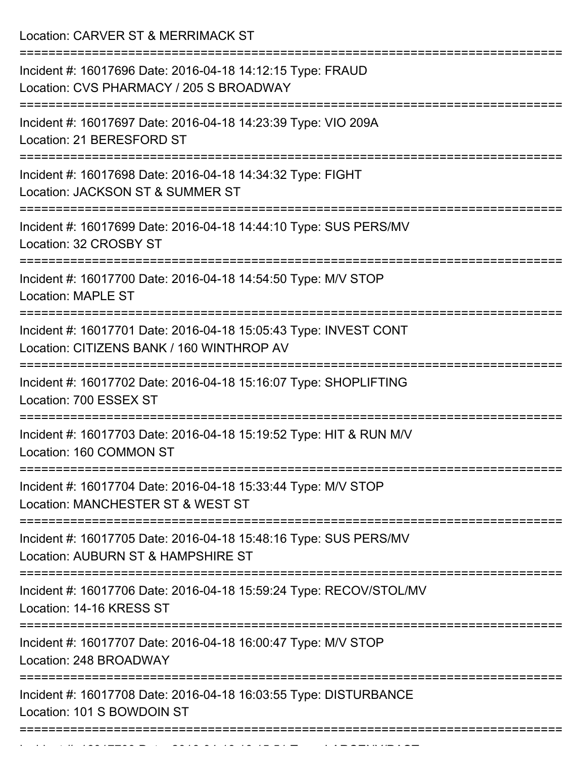Location: CARVER ST & MERRIMACK ST

| Incident #: 16017696 Date: 2016-04-18 14:12:15 Type: FRAUD<br>Location: CVS PHARMACY / 205 S BROADWAY         |
|---------------------------------------------------------------------------------------------------------------|
| Incident #: 16017697 Date: 2016-04-18 14:23:39 Type: VIO 209A<br>Location: 21 BERESFORD ST                    |
| Incident #: 16017698 Date: 2016-04-18 14:34:32 Type: FIGHT<br>Location: JACKSON ST & SUMMER ST                |
| Incident #: 16017699 Date: 2016-04-18 14:44:10 Type: SUS PERS/MV<br>Location: 32 CROSBY ST                    |
| Incident #: 16017700 Date: 2016-04-18 14:54:50 Type: M/V STOP<br><b>Location: MAPLE ST</b>                    |
| Incident #: 16017701 Date: 2016-04-18 15:05:43 Type: INVEST CONT<br>Location: CITIZENS BANK / 160 WINTHROP AV |
| Incident #: 16017702 Date: 2016-04-18 15:16:07 Type: SHOPLIFTING<br>Location: 700 ESSEX ST                    |
| Incident #: 16017703 Date: 2016-04-18 15:19:52 Type: HIT & RUN M/V<br>Location: 160 COMMON ST                 |
| Incident #: 16017704 Date: 2016-04-18 15:33:44 Type: M/V STOP<br>Location: MANCHESTER ST & WEST ST            |
| Incident #: 16017705 Date: 2016-04-18 15:48:16 Type: SUS PERS/MV<br>Location: AUBURN ST & HAMPSHIRE ST        |
| Incident #: 16017706 Date: 2016-04-18 15:59:24 Type: RECOV/STOL/MV<br>Location: 14-16 KRESS ST                |
| Incident #: 16017707 Date: 2016-04-18 16:00:47 Type: M/V STOP<br>Location: 248 BROADWAY                       |
| Incident #: 16017708 Date: 2016-04-18 16:03:55 Type: DISTURBANCE<br>Location: 101 S BOWDOIN ST                |
|                                                                                                               |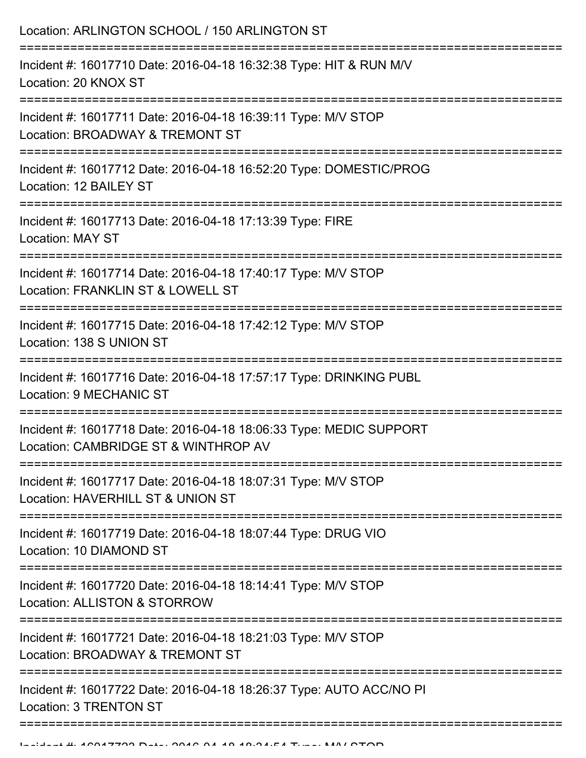| Location: ARLINGTON SCHOOL / 150 ARLINGTON ST<br>==============================                                                                          |
|----------------------------------------------------------------------------------------------------------------------------------------------------------|
| Incident #: 16017710 Date: 2016-04-18 16:32:38 Type: HIT & RUN M/V<br>Location: 20 KNOX ST                                                               |
| Incident #: 16017711 Date: 2016-04-18 16:39:11 Type: M/V STOP<br>Location: BROADWAY & TREMONT ST<br>:===================                                 |
| Incident #: 16017712 Date: 2016-04-18 16:52:20 Type: DOMESTIC/PROG<br>Location: 12 BAILEY ST                                                             |
| Incident #: 16017713 Date: 2016-04-18 17:13:39 Type: FIRE<br>Location: MAY ST<br>===================================<br>================================ |
| Incident #: 16017714 Date: 2016-04-18 17:40:17 Type: M/V STOP<br>Location: FRANKLIN ST & LOWELL ST                                                       |
| Incident #: 16017715 Date: 2016-04-18 17:42:12 Type: M/V STOP<br>Location: 138 S UNION ST                                                                |
| Incident #: 16017716 Date: 2016-04-18 17:57:17 Type: DRINKING PUBL<br>Location: 9 MECHANIC ST                                                            |
| Incident #: 16017718 Date: 2016-04-18 18:06:33 Type: MEDIC SUPPORT<br>Location: CAMBRIDGE ST & WINTHROP AV                                               |
| Incident #: 16017717 Date: 2016-04-18 18:07:31 Type: M/V STOP<br>Location: HAVERHILL ST & UNION ST                                                       |
| Incident #: 16017719 Date: 2016-04-18 18:07:44 Type: DRUG VIO<br>Location: 10 DIAMOND ST                                                                 |
| Incident #: 16017720 Date: 2016-04-18 18:14:41 Type: M/V STOP<br>Location: ALLISTON & STORROW                                                            |
| Incident #: 16017721 Date: 2016-04-18 18:21:03 Type: M/V STOP<br>Location: BROADWAY & TREMONT ST                                                         |
| Incident #: 16017722 Date: 2016-04-18 18:26:37 Type: AUTO ACC/NO PI<br><b>Location: 3 TRENTON ST</b>                                                     |
|                                                                                                                                                          |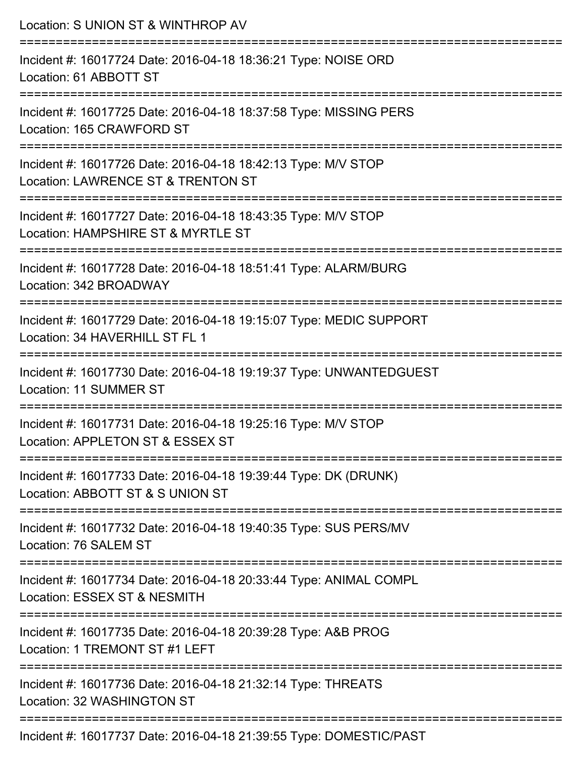| Location: S UNION ST & WINTHROP AV                                                                                                           |
|----------------------------------------------------------------------------------------------------------------------------------------------|
| Incident #: 16017724 Date: 2016-04-18 18:36:21 Type: NOISE ORD<br>Location: 61 ABBOTT ST<br>:===================                             |
| Incident #: 16017725 Date: 2016-04-18 18:37:58 Type: MISSING PERS<br>Location: 165 CRAWFORD ST                                               |
| Incident #: 16017726 Date: 2016-04-18 18:42:13 Type: M/V STOP<br>Location: LAWRENCE ST & TRENTON ST<br>=======================               |
| Incident #: 16017727 Date: 2016-04-18 18:43:35 Type: M/V STOP<br>Location: HAMPSHIRE ST & MYRTLE ST                                          |
| Incident #: 16017728 Date: 2016-04-18 18:51:41 Type: ALARM/BURG<br>Location: 342 BROADWAY                                                    |
| Incident #: 16017729 Date: 2016-04-18 19:15:07 Type: MEDIC SUPPORT<br>Location: 34 HAVERHILL ST FL 1                                         |
| Incident #: 16017730 Date: 2016-04-18 19:19:37 Type: UNWANTEDGUEST<br>Location: 11 SUMMER ST                                                 |
| ========================<br>Incident #: 16017731 Date: 2016-04-18 19:25:16 Type: M/V STOP<br>Location: APPLETON ST & ESSEX ST                |
| -------------------------------------<br>Incident #: 16017733 Date: 2016-04-18 19:39:44 Type: DK (DRUNK)<br>Location: ABBOTT ST & S UNION ST |
| Incident #: 16017732 Date: 2016-04-18 19:40:35 Type: SUS PERS/MV<br>Location: 76 SALEM ST                                                    |
| Incident #: 16017734 Date: 2016-04-18 20:33:44 Type: ANIMAL COMPL<br>Location: ESSEX ST & NESMITH                                            |
| Incident #: 16017735 Date: 2016-04-18 20:39:28 Type: A&B PROG<br>Location: 1 TREMONT ST #1 LEFT                                              |
| Incident #: 16017736 Date: 2016-04-18 21:32:14 Type: THREATS<br>Location: 32 WASHINGTON ST                                                   |
|                                                                                                                                              |

Incident #: 16017737 Date: 2016-04-18 21:39:55 Type: DOMESTIC/PAST